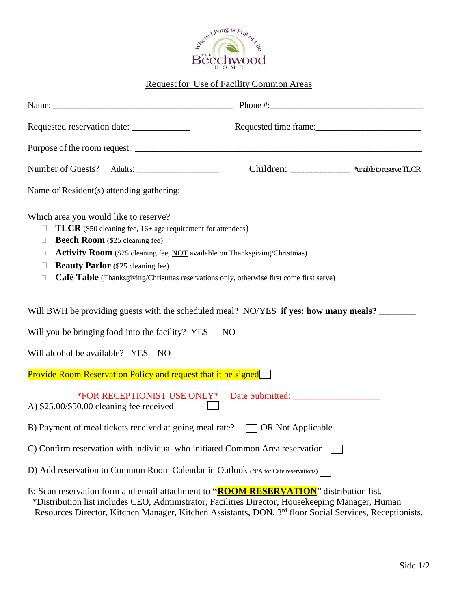

## Request for Use of Facility Common Areas

|                                                                                                 |                                                                                                                                                         | Phone #:                                                                                                                                                                     |  |
|-------------------------------------------------------------------------------------------------|---------------------------------------------------------------------------------------------------------------------------------------------------------|------------------------------------------------------------------------------------------------------------------------------------------------------------------------------|--|
|                                                                                                 | Requested reservation date:                                                                                                                             | Requested time frame:                                                                                                                                                        |  |
|                                                                                                 |                                                                                                                                                         |                                                                                                                                                                              |  |
|                                                                                                 |                                                                                                                                                         | Children: _______________ *unable to reserve TLCR                                                                                                                            |  |
|                                                                                                 |                                                                                                                                                         |                                                                                                                                                                              |  |
| Which area you would like to reserve?<br>$\mathbf{L}$<br>$\Box$<br>П.<br>$\mathbf{L}$<br>$\Box$ | <b>TLCR</b> (\$50 cleaning fee, 16+ age requirement for attendees)<br><b>Beech Room</b> (\$25 cleaning fee)<br><b>Beauty Parlor</b> (\$25 cleaning fee) | <b>Activity Room</b> (\$25 cleaning fee, NOT available on Thanksgiving/Christmas)<br>Café Table (Thanksgiving/Christmas reservations only, otherwise first come first serve) |  |
|                                                                                                 |                                                                                                                                                         | Will BWH be providing guests with the scheduled meal? NO/YES if yes: how many meals?                                                                                         |  |
|                                                                                                 | Will you be bringing food into the facility? YES                                                                                                        | N <sub>O</sub>                                                                                                                                                               |  |
| Will alcohol be available? YES                                                                  | NO                                                                                                                                                      |                                                                                                                                                                              |  |
|                                                                                                 |                                                                                                                                                         | <b>Provide Room Reservation Policy and request that it be signed</b>                                                                                                         |  |
| A) $$25.00/\$50.00$ cleaning fee received                                                       |                                                                                                                                                         |                                                                                                                                                                              |  |
|                                                                                                 |                                                                                                                                                         | B) Payment of meal tickets received at going meal rate? $\Box$ OR Not Applicable                                                                                             |  |
|                                                                                                 |                                                                                                                                                         | C) Confirm reservation with individual who initiated Common Area reservation                                                                                                 |  |
|                                                                                                 |                                                                                                                                                         | D) Add reservation to Common Room Calendar in Outlook (N/A for Café reservations)                                                                                            |  |
|                                                                                                 |                                                                                                                                                         | E: Scan reservation form and email attachment to " <b>ROOM RESERVATION</b> " distribution list.                                                                              |  |

 \*Distribution list includes CEO, Administrator, Facilities Director, Housekeeping Manager, Human Resources Director, Kitchen Manager, Kitchen Assistants, DON, 3<sup>rd</sup> floor Social Services, Receptionists.